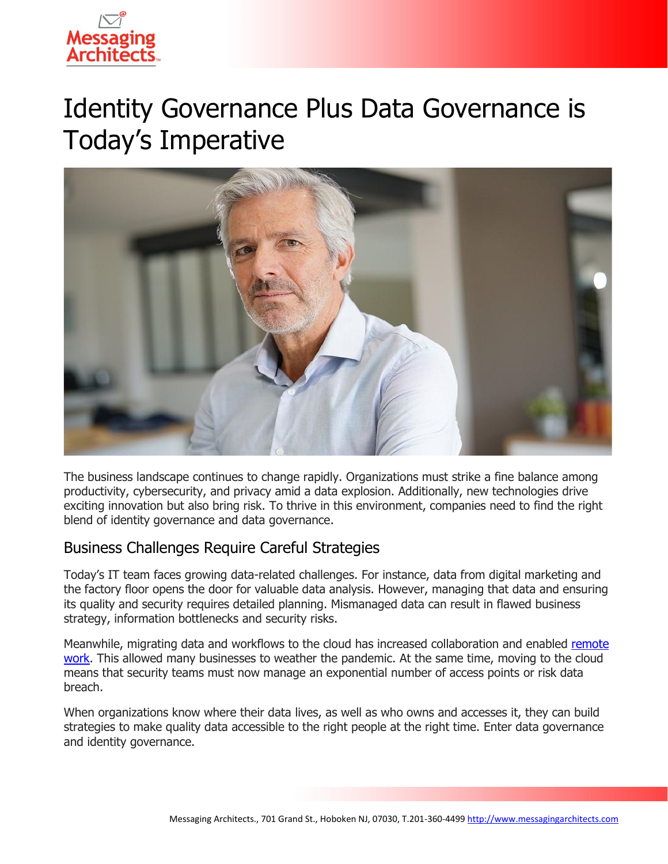

# Identity Governance Plus Data Governance is Today's Imperative



The business landscape continues to change rapidly. Organizations must strike a fine balance among productivity, cybersecurity, and privacy amid a data explosion. Additionally, new technologies drive exciting innovation but also bring risk. To thrive in this environment, companies need to find the right blend of identity governance and data governance.

#### Business Challenges Require Careful Strategies

Today's IT team faces growing data-related challenges. For instance, data from digital marketing and the factory floor opens the door for valuable data analysis. However, managing that data and ensuring its quality and security requires detailed planning. Mismanaged data can result in flawed business strategy, information bottlenecks and security risks.

Meanwhile, migrating data and workflows to the cloud has increased collaboration and enabled [remote](https://messagingarchitects.com/privacy-compliance-and-remote-work/)  [work.](https://messagingarchitects.com/privacy-compliance-and-remote-work/) This allowed many businesses to weather the pandemic. At the same time, moving to the cloud means that security teams must now manage an exponential number of access points or risk data breach.

When organizations know where their data lives, as well as who owns and accesses it, they can build strategies to make quality data accessible to the right people at the right time. Enter data governance and identity governance.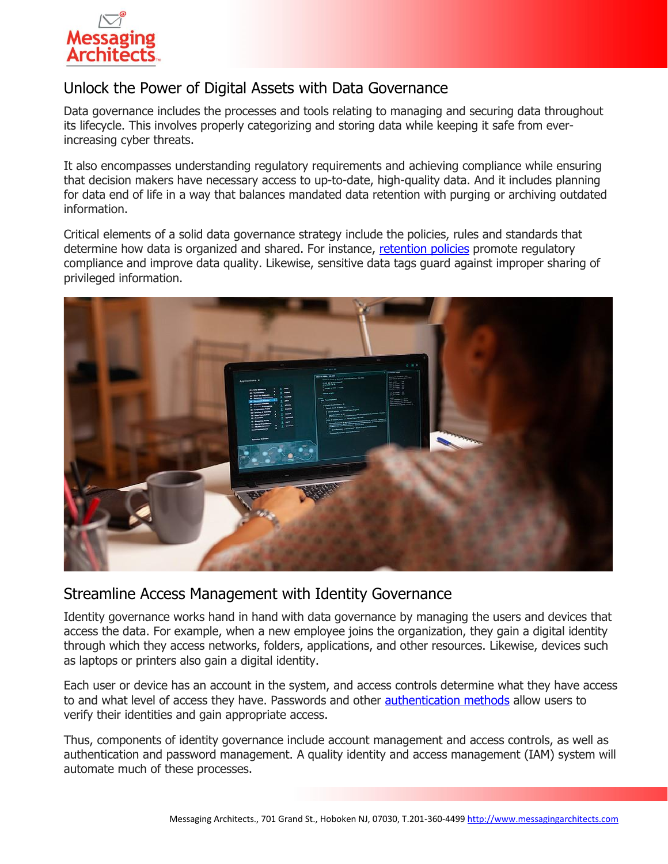

## Unlock the Power of Digital Assets with Data Governance

Data governance includes the processes and tools relating to managing and securing data throughout its lifecycle. This involves properly categorizing and storing data while keeping it safe from everincreasing cyber threats.

It also encompasses understanding regulatory requirements and achieving compliance while ensuring that decision makers have necessary access to up-to-date, high-quality data. And it includes planning for data end of life in a way that balances mandated data retention with purging or archiving outdated information.

Critical elements of a solid data governance strategy include the policies, rules and standards that determine how data is organized and shared. For instance, [retention policies](https://messagingarchitects.com/email-retention-goldilocks-zone/) promote regulatory compliance and improve data quality. Likewise, sensitive data tags guard against improper sharing of privileged information.



#### Streamline Access Management with Identity Governance

Identity governance works hand in hand with data governance by managing the users and devices that access the data. For example, when a new employee joins the organization, they gain a digital identity through which they access networks, folders, applications, and other resources. Likewise, devices such as laptops or printers also gain a digital identity.

Each user or device has an account in the system, and access controls determine what they have access to and what level of access they have. Passwords and other [authentication methods](https://www.emazzanti.net/modern-authentication/) allow users to verify their identities and gain appropriate access.

Thus, components of identity governance include account management and access controls, as well as authentication and password management. A quality identity and access management (IAM) system will automate much of these processes.